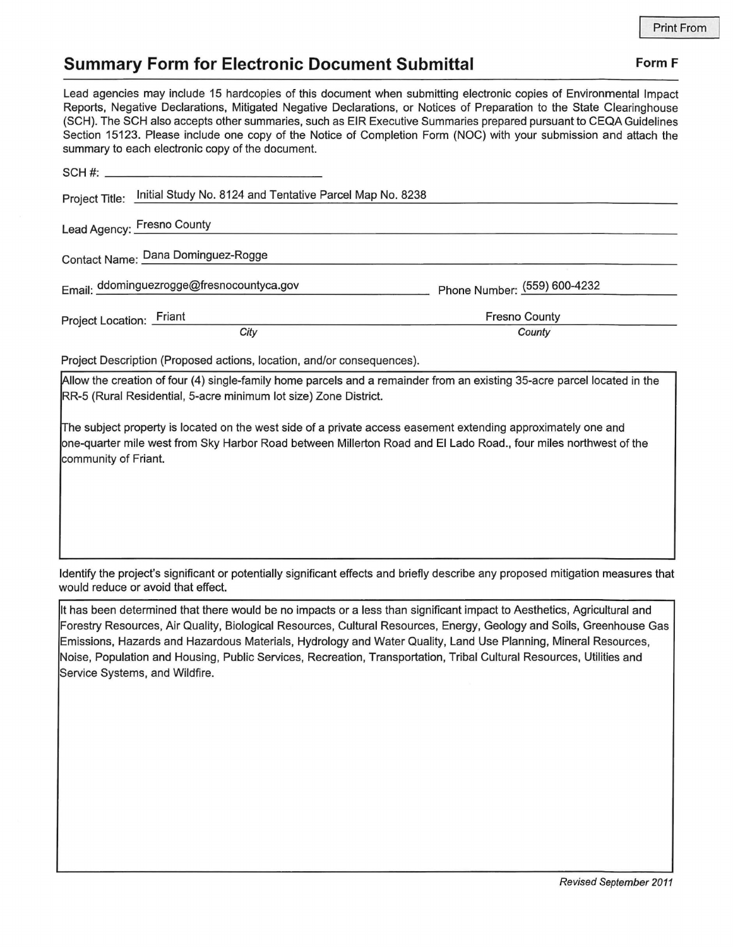## **Summary Form for Electronic Document Submittal Form F Form F**

Lead agencies may include 15 hardcopies of this document when submitting electronic copies of Environmental Impact Reports, Negative Declarations, Mitigated Negative Declarations, or Notices of Preparation to the State Clearinghouse (SCH). The SCH also accepts other summaries, such as EIR Executive Summaries prepared pursuant to CEQA Guidelines Section 15123. Please include one copy of the Notice of Completion Form (NOC) with your submission and attach the summary to each electronic copy of the document.

| $SCH \#:$                                                                  |                              |
|----------------------------------------------------------------------------|------------------------------|
| Initial Study No. 8124 and Tentative Parcel Map No. 8238<br>Project Title: |                              |
| Lead Agency: Fresno County                                                 |                              |
| Contact Name: Dana Dominguez-Rogge                                         |                              |
| Email: ddominguezrogge@fresnocountyca.gov                                  | Phone Number: (559) 600-4232 |
| Project Location: Friant                                                   | <b>Fresno County</b>         |
| City                                                                       | County                       |
|                                                                            |                              |

Project Description (Proposed actions, location, and/or consequences).

Allow the creation of four (4) single-family home parcels and a remainder from an existing 35-acre parcel located in the RR-5 (Rural Residential, 5-acre minimum lot size) Zone District.

The subject property is located on the west side of a private access easement extending approximately one and one-quarter mile west from Sky Harbor Road between Millerton Road and El Lado Road., four miles northwest of the community of Friant.

Identify the project's significant or potentially significant effects and briefly describe any proposed mitigation measures that would reduce or avoid that effect.

It has been determined that there would be no impacts or a less than significant impact to Aesthetics, Agricultural and Forestry Resources, Air Quality, Biological Resources, Cultural Resources, Energy, Geology and Soils, Greenhouse Gas Emissions, Hazards and Hazardous Materials, Hydrology and Water Quality, Land Use Planning, Mineral Resources, Noise, Population and Housing, Public Services, Recreation, Transportation, Tribal Cultural Resources, Utilities and Service Systems, and Wildfire.